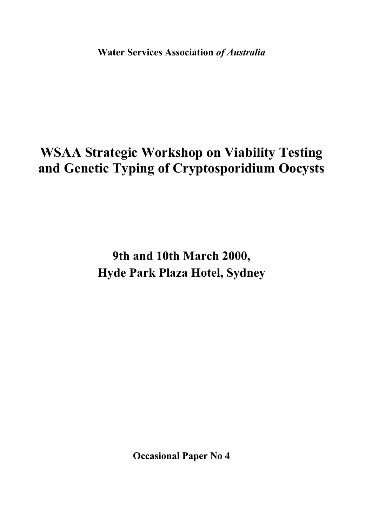**Water Services Association** *of Australia*

# **WSAA Strategic Workshop on Viability Testing and Genetic Typing of Cryptosporidium Oocysts**

**9th and 10th March 2000, Hyde Park Plaza Hotel, Sydney** 

**Occasional Paper No 4**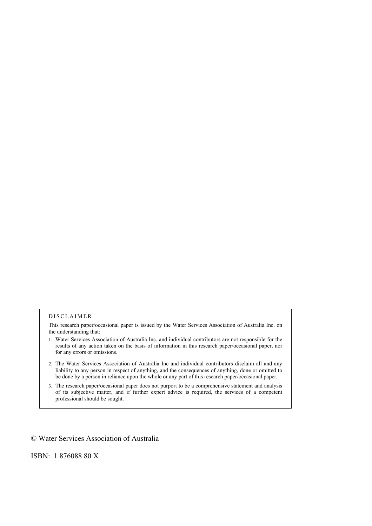#### DISCLAIMER

This research paper/occasional paper is issued by the Water Services Association of Australia Inc. on the understanding that:

- 1. Water Services Association of Australia Inc. and individual contributors are not responsible for the results of any action taken on the basis of information in this research paper/occasional paper, nor for any errors or omissions.
- 2. The Water Services Association of Australia Inc and individual contributors disclaim all and any liability to any person in respect of anything, and the consequences of anything, done or omitted to be done by a person in reliance upon the whole or any part of this research paper/occasional paper.
- 3. The research paper/occasional paper does not purport to be a comprehensive statement and analysis of its subjective matter, and if further expert advice is required, the services of a competent professional should be sought.

#### © Water Services Association of Australia

ISBN: 1 876088 80 X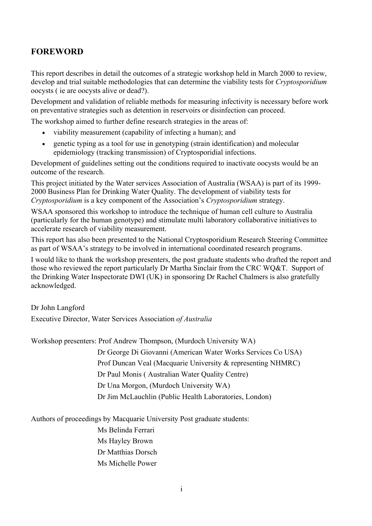# **FOREWORD**

This report describes in detail the outcomes of a strategic workshop held in March 2000 to review, develop and trial suitable methodologies that can determine the viability tests for *Cryptosporidium* oocysts ( ie are oocysts alive or dead?).

Development and validation of reliable methods for measuring infectivity is necessary before work on preventative strategies such as detention in reservoirs or disinfection can proceed.

The workshop aimed to further define research strategies in the areas of:

- viability measurement (capability of infecting a human); and
- genetic typing as a tool for use in genotyping (strain identification) and molecular epidemiology (tracking transmission) of Cryptosporidial infections.

Development of guidelines setting out the conditions required to inactivate oocysts would be an outcome of the research.

This project initiated by the Water services Association of Australia (WSAA) is part of its 1999- 2000 Business Plan for Drinking Water Quality. The development of viability tests for *Cryptosporidium* is a key component of the Association's *Cryptosporidium* strategy.

WSAA sponsored this workshop to introduce the technique of human cell culture to Australia (particularly for the human genotype) and stimulate multi laboratory collaborative initiatives to accelerate research of viability measurement.

This report has also been presented to the National Cryptosporidium Research Steering Committee as part of WSAA's strategy to be involved in international coordinated research programs.

I would like to thank the workshop presenters, the post graduate students who drafted the report and those who reviewed the report particularly Dr Martha Sinclair from the CRC WQ&T. Support of the Drinking Water Inspectorate DWI (UK) in sponsoring Dr Rachel Chalmers is also gratefully acknowledged.

#### Dr John Langford

Executive Director, Water Services Association *of Australia* 

Workshop presenters: Prof Andrew Thompson, (Murdoch University WA)

Dr George Di Giovanni (American Water Works Services Co USA) Prof Duncan Veal (Macquarie University & representing NHMRC) Dr Paul Monis ( Australian Water Quality Centre) Dr Una Morgon, (Murdoch University WA) Dr Jim McLauchlin (Public Health Laboratories, London)

Authors of proceedings by Macquarie University Post graduate students:

Ms Belinda Ferrari Ms Hayley Brown Dr Matthias Dorsch Ms Michelle Power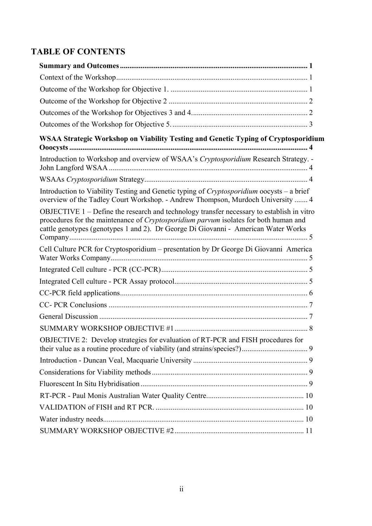# **TABLE OF CONTENTS**

| WSAA Strategic Workshop on Viability Testing and Genetic Typing of Cryptosporidium                                                                                                                                                                                      |
|-------------------------------------------------------------------------------------------------------------------------------------------------------------------------------------------------------------------------------------------------------------------------|
| Introduction to Workshop and overview of WSAA's Cryptosporidium Research Strategy. -                                                                                                                                                                                    |
|                                                                                                                                                                                                                                                                         |
| Introduction to Viability Testing and Genetic typing of Cryptosporidium oocysts – a brief<br>overview of the Tadley Court Workshop. - Andrew Thompson, Murdoch University  4                                                                                            |
| OBJECTIVE 1 – Define the research and technology transfer necessary to establish in vitro<br>procedures for the maintenance of Cryptosporidium parvum isolates for both human and<br>cattle genotypes (genotypes 1 and 2). Dr George Di Giovanni - American Water Works |
| Cell Culture PCR for Cryptosporidium - presentation by Dr George Di Giovanni America                                                                                                                                                                                    |
|                                                                                                                                                                                                                                                                         |
|                                                                                                                                                                                                                                                                         |
|                                                                                                                                                                                                                                                                         |
|                                                                                                                                                                                                                                                                         |
|                                                                                                                                                                                                                                                                         |
|                                                                                                                                                                                                                                                                         |
| OBJECTIVE 2: Develop strategies for evaluation of RT-PCR and FISH procedures for                                                                                                                                                                                        |
|                                                                                                                                                                                                                                                                         |
|                                                                                                                                                                                                                                                                         |
|                                                                                                                                                                                                                                                                         |
|                                                                                                                                                                                                                                                                         |
|                                                                                                                                                                                                                                                                         |
|                                                                                                                                                                                                                                                                         |
|                                                                                                                                                                                                                                                                         |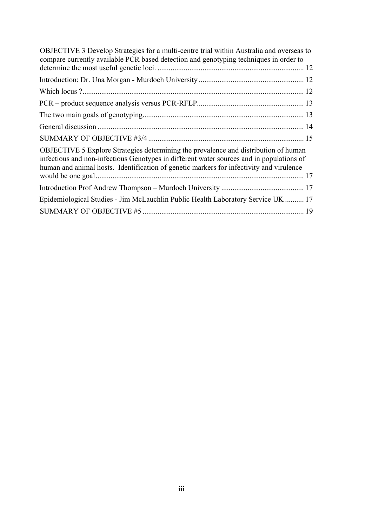| OBJECTIVE 3 Develop Strategies for a multi-centre trial within Australia and overseas to<br>compare currently available PCR based detection and genotyping techniques in order to                                                                                          |  |
|----------------------------------------------------------------------------------------------------------------------------------------------------------------------------------------------------------------------------------------------------------------------------|--|
|                                                                                                                                                                                                                                                                            |  |
|                                                                                                                                                                                                                                                                            |  |
|                                                                                                                                                                                                                                                                            |  |
|                                                                                                                                                                                                                                                                            |  |
|                                                                                                                                                                                                                                                                            |  |
|                                                                                                                                                                                                                                                                            |  |
|                                                                                                                                                                                                                                                                            |  |
| OBJECTIVE 5 Explore Strategies determining the prevalence and distribution of human<br>infectious and non-infectious Genotypes in different water sources and in populations of<br>human and animal hosts. Identification of genetic markers for infectivity and virulence |  |
|                                                                                                                                                                                                                                                                            |  |
|                                                                                                                                                                                                                                                                            |  |
| Epidemiological Studies - Jim McLauchlin Public Health Laboratory Service UK  17                                                                                                                                                                                           |  |
|                                                                                                                                                                                                                                                                            |  |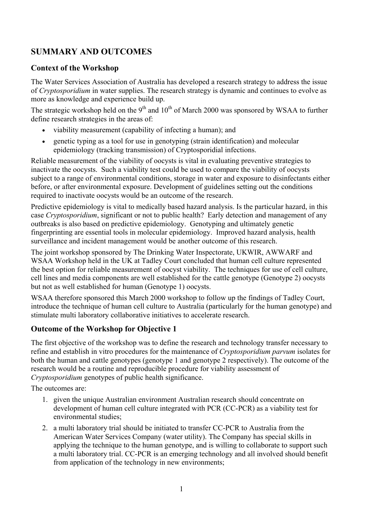# **SUMMARY AND OUTCOMES**

#### **Context of the Workshop**

The Water Services Association of Australia has developed a research strategy to address the issue of *Cryptosporidium* in water supplies. The research strategy is dynamic and continues to evolve as more as knowledge and experience build up.

The strategic workshop held on the  $9<sup>th</sup>$  and  $10<sup>th</sup>$  of March 2000 was sponsored by WSAA to further define research strategies in the areas of:

- viability measurement (capability of infecting a human); and
- genetic typing as a tool for use in genotyping (strain identification) and molecular epidemiology (tracking transmission) of Cryptosporidial infections.

Reliable measurement of the viability of oocysts is vital in evaluating preventive strategies to inactivate the oocysts. Such a viability test could be used to compare the viability of oocysts subject to a range of environmental conditions, storage in water and exposure to disinfectants either before, or after environmental exposure. Development of guidelines setting out the conditions required to inactivate oocysts would be an outcome of the research.

Predictive epidemiology is vital to medically based hazard analysis. Is the particular hazard, in this case *Cryptosporidium*, significant or not to public health? Early detection and management of any outbreaks is also based on predictive epidemiology. Genotyping and ultimately genetic fingerprinting are essential tools in molecular epidemiology. Improved hazard analysis, health surveillance and incident management would be another outcome of this research.

The joint workshop sponsored by The Drinking Water Inspectorate, UKWIR, AWWARF and WSAA Workshop held in the UK at Tadley Court concluded that human cell culture represented the best option for reliable measurement of oocyst viability. The techniques for use of cell culture, cell lines and media components are well established for the cattle genotype (Genotype 2) oocysts but not as well established for human (Genotype 1) oocysts.

WSAA therefore sponsored this March 2000 workshop to follow up the findings of Tadley Court, introduce the technique of human cell culture to Australia (particularly for the human genotype) and stimulate multi laboratory collaborative initiatives to accelerate research.

# **Outcome of the Workshop for Objective 1**

The first objective of the workshop was to define the research and technology transfer necessary to refine and establish in vitro procedures for the maintenance of *Cryptosporidium parvum* isolates for both the human and cattle genotypes (genotype 1 and genotype 2 respectively). The outcome of the research would be a routine and reproducible procedure for viability assessment of *Cryptosporidium* genotypes of public health significance.

The outcomes are:

- 1. given the unique Australian environment Australian research should concentrate on development of human cell culture integrated with PCR (CC-PCR) as a viability test for environmental studies;
- 2. a multi laboratory trial should be initiated to transfer CC-PCR to Australia from the American Water Services Company (water utility). The Company has special skills in applying the technique to the human genotype, and is willing to collaborate to support such a multi laboratory trial. CC-PCR is an emerging technology and all involved should benefit from application of the technology in new environments;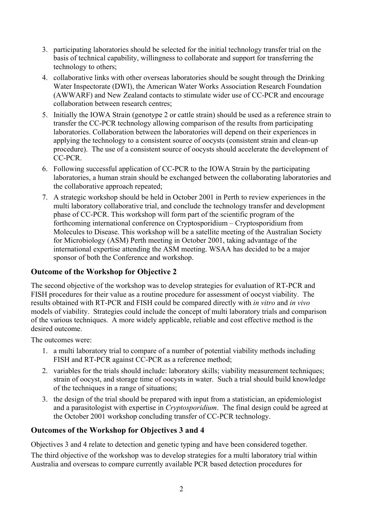- 3. participating laboratories should be selected for the initial technology transfer trial on the basis of technical capability, willingness to collaborate and support for transferring the technology to others;
- 4. collaborative links with other overseas laboratories should be sought through the Drinking Water Inspectorate (DWI), the American Water Works Association Research Foundation (AWWARF) and New Zealand contacts to stimulate wider use of CC-PCR and encourage collaboration between research centres;
- 5. Initially the IOWA Strain (genotype 2 or cattle strain) should be used as a reference strain to transfer the CC-PCR technology allowing comparison of the results from participating laboratories. Collaboration between the laboratories will depend on their experiences in applying the technology to a consistent source of oocysts (consistent strain and clean-up procedure). The use of a consistent source of oocysts should accelerate the development of CC-PCR.
- 6. Following successful application of CC-PCR to the IOWA Strain by the participating laboratories, a human strain should be exchanged between the collaborating laboratories and the collaborative approach repeated;
- 7. A strategic workshop should be held in October 2001 in Perth to review experiences in the multi laboratory collaborative trial, and conclude the technology transfer and development phase of CC-PCR. This workshop will form part of the scientific program of the forthcoming international conference on Cryptosporidium – Cryptosporidium from Molecules to Disease. This workshop will be a satellite meeting of the Australian Society for Microbiology (ASM) Perth meeting in October 2001, taking advantage of the international expertise attending the ASM meeting. WSAA has decided to be a major sponsor of both the Conference and workshop.

#### **Outcome of the Workshop for Objective 2**

The second objective of the workshop was to develop strategies for evaluation of RT-PCR and FISH procedures for their value as a routine procedure for assessment of oocyst viability. The results obtained with RT-PCR and FISH could be compared directly with *in vitro* and *in vivo* models of viability. Strategies could include the concept of multi laboratory trials and comparison of the various techniques. A more widely applicable, reliable and cost effective method is the desired outcome.

The outcomes were:

- 1. a multi laboratory trial to compare of a number of potential viability methods including FISH and RT-PCR against CC-PCR as a reference method;
- 2. variables for the trials should include: laboratory skills; viability measurement techniques; strain of oocyst, and storage time of oocysts in water. Such a trial should build knowledge of the techniques in a range of situations;
- 3. the design of the trial should be prepared with input from a statistician, an epidemiologist and a parasitologist with expertise in *Cryptosporidium*. The final design could be agreed at the October 2001 workshop concluding transfer of CC-PCR technology.

# **Outcomes of the Workshop for Objectives 3 and 4**

Objectives 3 and 4 relate to detection and genetic typing and have been considered together.

The third objective of the workshop was to develop strategies for a multi laboratory trial within Australia and overseas to compare currently available PCR based detection procedures for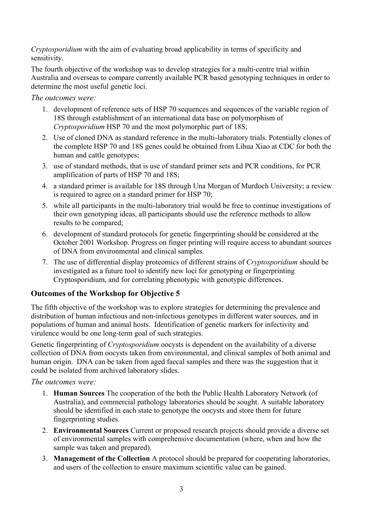*Cryptosporidium* with the aim of evaluating broad applicability in terms of specificity and sensitivity.

The fourth objective of the workshop was to develop strategies for a multi-centre trial within Australia and overseas to compare currently available PCR based genotyping techniques in order to determine the most useful genetic loci.

*The outcomes were:* 

- 1. development of reference sets of HSP 70 sequences and sequences of the variable region of 18S through establishment of an international data base on polymorphism of *Cryptosporidium* HSP 70 and the most polymorphic part of 18S;
- 2. Use of cloned DNA as standard reference in the multi-laboratory trials. Potentially clones of the complete HSP 70 and 18S genes could be obtained from Lihua Xiao at CDC for both the human and cattle genotypes;
- 3. use of standard methods, that is use of standard primer sets and PCR conditions, for PCR amplification of parts of HSP 70 and 18S;
- 4. a standard primer is available for 18S through Una Morgan of Murdoch University; a review is required to agree on a standard primer for HSP 70;
- 5. while all participants in the multi-laboratory trial would be free to continue investigations of their own genotyping ideas, all participants should use the reference methods to allow results to be compared;
- 6. development of standard protocols for genetic fingerprinting should be considered at the October 2001 Workshop. Progress on finger printing will require access to abundant sources of DNA from environmental and clinical samples.
- 7. The use of differential display proteomics of different strains of *Cryptosporidium* should be investigated as a future tool to identify new loci for genotyping or fingerprinting Cryptosporidium, and for correlating phenotypic with genotypic differences.

# **Outcomes of the Workshop for Objective 5**

The fifth objective of the workshop was to explore strategies for determining the prevalence and distribution of human infectious and non-infectious genotypes in different water sources, and in populations of human and animal hosts. Identification of genetic markers for infectivity and virulence would be one long-term goal of such strategies.

Genetic fingerprinting of *Cryptosporidium* oocysts is dependent on the availability of a diverse collection of DNA from oocysts taken from environmental, and clinical samples of both animal and human origin. DNA can be taken from aged faecal samples and there was the suggestion that it could be isolated from archived laboratory slides.

*The outcomes were:* 

- 1. **Human Sources** The cooperation of the both the Public Health Laboratory Network (of Australia), and commercial pathology laboratories should be sought. A suitable laboratory should be identified in each state to genotype the oocysts and store them for future fingerprinting studies.
- 2. **Environmental Sources** Current or proposed research projects should provide a diverse set of environmental samples with comprehensive documentation (where, when and how the sample was taken and prepared).
- 3. **Management of the Collection** A protocol should be prepared for cooperating laboratories, and users of the collection to ensure maximum scientific value can be gained.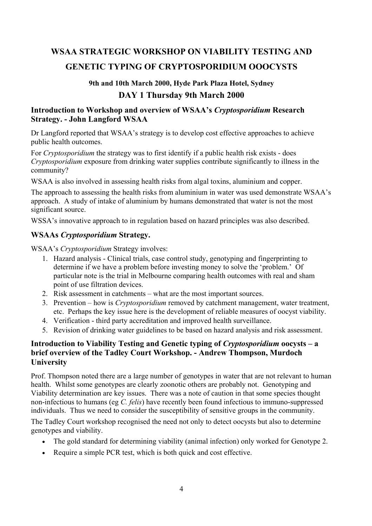# **WSAA STRATEGIC WORKSHOP ON VIABILITY TESTING AND GENETIC TYPING OF CRYPTOSPORIDIUM OOOCYSTS**

# **9th and 10th March 2000, Hyde Park Plaza Hotel, Sydney DAY 1 Thursday 9th March 2000**

#### **Introduction to Workshop and overview of WSAA's** *Cryptosporidium* **Research Strategy. - John Langford WSAA**

Dr Langford reported that WSAA's strategy is to develop cost effective approaches to achieve public health outcomes.

For *Cryptosporidium* the strategy was to first identify if a public health risk exists - does *Cryptosporidium* exposure from drinking water supplies contribute significantly to illness in the community?

WSAA is also involved in assessing health risks from algal toxins, aluminium and copper.

The approach to assessing the health risks from aluminium in water was used demonstrate WSAA's approach. A study of intake of aluminium by humans demonstrated that water is not the most significant source.

WSSA's innovative approach to in regulation based on hazard principles was also described.

# **WSAAs** *Cryptosporidium* **Strategy.**

WSAA's *Cryptosporidium* Strategy involves:

- 1. Hazard analysis Clinical trials, case control study, genotyping and fingerprinting to determine if we have a problem before investing money to solve the 'problem.' Of particular note is the trial in Melbourne comparing health outcomes with real and sham point of use filtration devices.
- 2. Risk assessment in catchments what are the most important sources.
- 3. Prevention how is *Cryptosporidium* removed by catchment management, water treatment, etc. Perhaps the key issue here is the development of reliable measures of oocyst viability.
- 4. Verification third party accreditation and improved health surveillance.
- 5. Revision of drinking water guidelines to be based on hazard analysis and risk assessment.

#### **Introduction to Viability Testing and Genetic typing of** *Cryptosporidium* **oocysts – a brief overview of the Tadley Court Workshop. - Andrew Thompson, Murdoch University**

Prof. Thompson noted there are a large number of genotypes in water that are not relevant to human health. Whilst some genotypes are clearly zoonotic others are probably not. Genotyping and Viability determination are key issues. There was a note of caution in that some species thought non-infectious to humans (eg *C. felis*) have recently been found infectious to immuno-suppressed individuals. Thus we need to consider the susceptibility of sensitive groups in the community.

The Tadley Court workshop recognised the need not only to detect oocysts but also to determine genotypes and viability.

- The gold standard for determining viability (animal infection) only worked for Genotype 2.
- Require a simple PCR test, which is both quick and cost effective.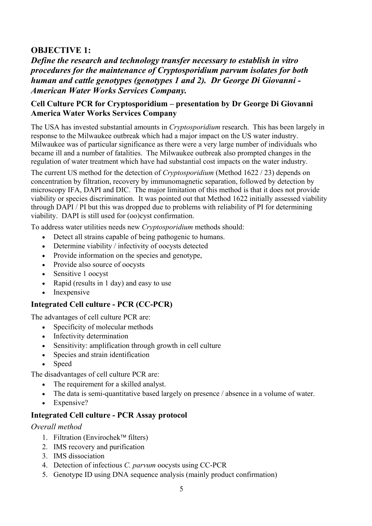# **OBJECTIVE 1:**

*Define the research and technology transfer necessary to establish in vitro procedures for the maintenance of Cryptosporidium parvum isolates for both human and cattle genotypes (genotypes 1 and 2). Dr George Di Giovanni - American Water Works Services Company.* 

#### **Cell Culture PCR for Cryptosporidium – presentation by Dr George Di Giovanni America Water Works Services Company**

The USA has invested substantial amounts in *Cryptosporidium* research. This has been largely in response to the Milwaukee outbreak which had a major impact on the US water industry. Milwaukee was of particular significance as there were a very large number of individuals who became ill and a number of fatalities. The Milwaukee outbreak also prompted changes in the regulation of water treatment which have had substantial cost impacts on the water industry.

The current US method for the detection of *Cryptosporidium* (Method 1622 / 23) depends on concentration by filtration, recovery by immunomagnetic separation, followed by detection by microscopy IFA, DAPI and DIC. The major limitation of this method is that it does not provide viability or species discrimination. It was pointed out that Method 1622 initially assessed viability through DAPI / PI but this was dropped due to problems with reliability of PI for determining viability. DAPI is still used for (oo)cyst confirmation.

To address water utilities needs new *Cryptosporidium* methods should:

- Detect all strains capable of being pathogenic to humans.
- Determine viability / infectivity of oocysts detected
- Provide information on the species and genotype,
- Provide also source of oocysts
- Sensitive 1 oocyst
- Rapid (results in 1 day) and easy to use
- Inexpensive

#### **Integrated Cell culture - PCR (CC-PCR)**

The advantages of cell culture PCR are:

- Specificity of molecular methods
- Infectivity determination
- Sensitivity: amplification through growth in cell culture
- Species and strain identification
- Speed

The disadvantages of cell culture PCR are:

- The requirement for a skilled analyst.
- The data is semi-quantitative based largely on presence / absence in a volume of water.
- Expensive?

#### **Integrated Cell culture - PCR Assay protocol**

#### *Overall method*

- 1. Filtration (Envirochek<sup> $\text{m}$ </sup> filters)
- 2. IMS recovery and purification
- 3. IMS dissociation
- 4. Detection of infectious *C. parvum* oocysts using CC-PCR
- 5. Genotype ID using DNA sequence analysis (mainly product confirmation)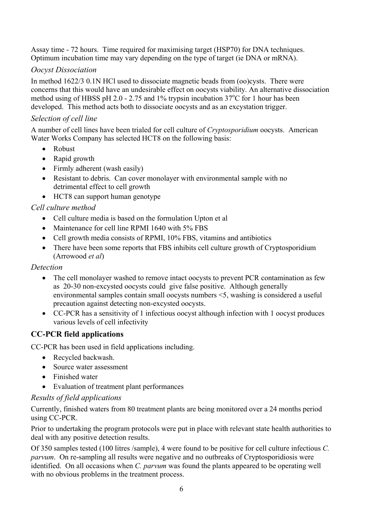Assay time - 72 hours. Time required for maximising target (HSP70) for DNA techniques. Optimum incubation time may vary depending on the type of target (ie DNA or mRNA).

# *Oocyst Dissociation*

In method 1622/3 0.1N HCl used to dissociate magnetic beads from (oo)cysts. There were concerns that this would have an undesirable effect on oocysts viability. An alternative dissociation method using of HBSS pH 2.0 - 2.75 and 1% trypsin incubation  $37^{\circ}$ C for 1 hour has been developed. This method acts both to dissociate oocysts and as an excystation trigger.

#### *Selection of cell line*

A number of cell lines have been trialed for cell culture of *Cryptosporidium* oocysts. American Water Works Company has selected HCT8 on the following basis:

- Robust
- Rapid growth
- Firmly adherent (wash easily)
- Resistant to debris. Can cover monolayer with environmental sample with no detrimental effect to cell growth
- HCT8 can support human genotype

### *Cell culture method*

- Cell culture media is based on the formulation Upton et al
- Maintenance for cell line RPMI 1640 with 5% FBS
- Cell growth media consists of RPMI, 10% FBS, vitamins and antibiotics
- There have been some reports that FBS inhibits cell culture growth of Cryptosporidium (Arrowood *et al*)

#### *Detection*

- The cell monolayer washed to remove intact oocysts to prevent PCR contamination as few as 20-30 non-excysted oocysts could give false positive. Although generally environmental samples contain small oocysts numbers <5, washing is considered a useful precaution against detecting non-excysted oocysts.
- CC-PCR has a sensitivity of 1 infectious oocyst although infection with 1 oocyst produces various levels of cell infectivity

# **CC-PCR field applications**

CC-PCR has been used in field applications including.

- Recycled backwash.
- Source water assessment
- Finished water
- Evaluation of treatment plant performances

#### *Results of field applications*

Currently, finished waters from 80 treatment plants are being monitored over a 24 months period using CC-PCR.

Prior to undertaking the program protocols were put in place with relevant state health authorities to deal with any positive detection results.

Of 350 samples tested (100 litres /sample), 4 were found to be positive for cell culture infectious *C. parvum*. On re-sampling all results were negative and no outbreaks of Cryptosporidiosis were identified. On all occasions when *C. parvum* was found the plants appeared to be operating well with no obvious problems in the treatment process.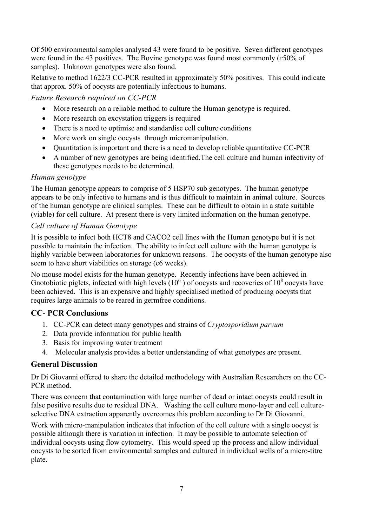Of 500 environmental samples analysed 43 were found to be positive. Seven different genotypes were found in the 43 positives. The Bovine genotype was found most commonly (*c*50% of samples). Unknown genotypes were also found.

Relative to method 1622/3 CC-PCR resulted in approximately 50% positives. This could indicate that approx. 50% of oocysts are potentially infectious to humans.

### *Future Research required on CC-PCR*

- More research on a reliable method to culture the Human genotype is required.
- More research on excystation triggers is required
- There is a need to optimise and standardise cell culture conditions
- More work on single oocysts through micromanipulation.
- Ouantitation is important and there is a need to develop reliable quantitative CC-PCR
- A number of new genotypes are being identified.The cell culture and human infectivity of these genotypes needs to be determined.

#### *Human genotype*

The Human genotype appears to comprise of 5 HSP70 sub genotypes. The human genotype appears to be only infective to humans and is thus difficult to maintain in animal culture. Sources of the human genotype are clinical samples. These can be difficult to obtain in a state suitable (viable) for cell culture. At present there is very limited information on the human genotype.

### *Cell culture of Human Genotype*

It is possible to infect both HCT8 and CACO2 cell lines with the Human genotype but it is not possible to maintain the infection. The ability to infect cell culture with the human genotype is highly variable between laboratories for unknown reasons. The oocysts of the human genotype also seem to have short viabilities on storage (c6 weeks).

No mouse model exists for the human genotype. Recently infections have been achieved in Gnotobiotic piglets, infected with high levels  $(10^6)$  of oocysts and recoveries of  $10^8$  oocysts have been achieved. This is an expensive and highly specialised method of producing oocysts that requires large animals to be reared in germfree conditions.

# **CC- PCR Conclusions**

- 1. CC-PCR can detect many genotypes and strains of *Cryptosporidium parvum*
- 2. Data provide information for public health
- 3. Basis for improving water treatment
- 4. Molecular analysis provides a better understanding of what genotypes are present.

#### **General Discussion**

Dr Di Giovanni offered to share the detailed methodology with Australian Researchers on the CC-PCR method.

There was concern that contamination with large number of dead or intact oocysts could result in false positive results due to residual DNA. Washing the cell culture mono-layer and cell cultureselective DNA extraction apparently overcomes this problem according to Dr Di Giovanni.

Work with micro-manipulation indicates that infection of the cell culture with a single oocyst is possible although there is variation in infection. It may be possible to automate selection of individual oocysts using flow cytometry. This would speed up the process and allow individual oocysts to be sorted from environmental samples and cultured in individual wells of a micro-titre plate.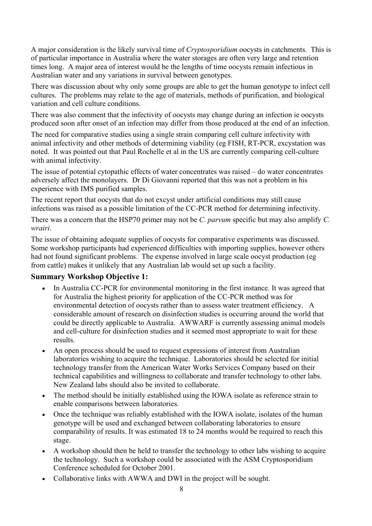A major consideration is the likely survival time of *Cryptosporidium* oocysts in catchments. This is of particular importance in Australia where the water storages are often very large and retention times long. A major area of interest would be the lengths of time oocysts remain infectious in Australian water and any variations in survival between genotypes.

There was discussion about why only some groups are able to get the human genotype to infect cell cultures. The problems may relate to the age of materials, methods of purification, and biological variation and cell culture conditions.

There was also comment that the infectivity of oocysts may change during an infection ie oocysts produced soon after onset of an infection may differ from those produced at the end of an infection.

The need for comparative studies using a single strain comparing cell culture infectivity with animal infectivity and other methods of determining viability (eg FISH, RT-PCR, excystation was noted. It was pointed out that Paul Rochelle et al in the US are currently comparing cell-culture with animal infectivity.

The issue of potential cytopathic effects of water concentrates was raised – do water concentrates adversely affect the monolayers. Dr Di Giovanni reported that this was not a problem in his experience with IMS purified samples.

The recent report that oocysts that do not excyst under artificial conditions may still cause infections was raised as a possible limitation of the CC-PCR method for determining infectivity.

There was a concern that the HSP70 primer may not be *C. parvum* specific but may also amplify *C. wrairi*.

The issue of obtaining adequate supplies of oocysts for comparative experiments was discussed. Some workshop participants had experienced difficulties with importing supplies, however others had not found significant problems. The expense involved in large scale oocyst production (eg from cattle) makes it unlikely that any Australian lab would set up such a facility.

#### **Summary Workshop Objective 1:**

- In Australia CC-PCR for environmental monitoring in the first instance. It was agreed that for Australia the highest priority for application of the CC-PCR method was for environmental detection of oocysts rather than to assess water treatment efficiency. A considerable amount of research on disinfection studies is occurring around the world that could be directly applicable to Australia. AWWARF is currently assessing animal models and cell-culture for disinfection studies and it seemed most appropriate to wait for these **results**
- An open process should be used to request expressions of interest from Australian laboratories wishing to acquire the technique. Laboratories should be selected for initial technology transfer from the American Water Works Services Company based on their technical capabilities and willingness to collaborate and transfer technology to other labs. New Zealand labs should also be invited to collaborate.
- The method should be initially established using the IOWA isolate as reference strain to enable comparisons between laboratories.
- Once the technique was reliably established with the IOWA isolate, isolates of the human genotype will be used and exchanged between collaborating laboratories to ensure comparability of results. It was estimated 18 to 24 months would be required to reach this stage.
- A workshop should then be held to transfer the technology to other labs wishing to acquire the technology. Such a workshop could be associated with the ASM Cryptosporidium Conference scheduled for October 2001.
- Collaborative links with AWWA and DWI in the project will be sought.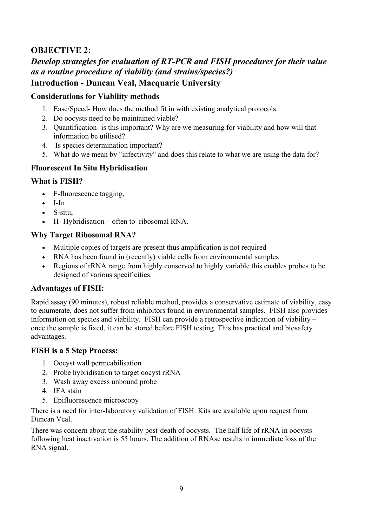# **OBJECTIVE 2:**

# *Develop strategies for evaluation of RT-PCR and FISH procedures for their value as a routine procedure of viability (and strains/species?)*

# **Introduction - Duncan Veal, Macquarie University**

#### **Considerations for Viability methods**

- 1. Ease/Speed- How does the method fit in with existing analytical protocols.
- 2. Do oocysts need to be maintained viable?
- 3. Quantification- is this important? Why are we measuring for viability and how will that information be utilised?
- 4. Is species determination important?
- 5. What do we mean by "infectivity" and does this relate to what we are using the data for?

# **Fluorescent In Situ Hybridisation**

#### **What is FISH?**

- F-fluorescence tagging,
- I-In
- S-situ
- H- Hybridisation often to ribosomal RNA.

### **Why Target Ribosomal RNA?**

- Multiple copies of targets are present thus amplification is not required
- RNA has been found in (recently) viable cells from environmental samples
- Regions of rRNA range from highly conserved to highly variable this enables probes to be designed of various specificities.

#### **Advantages of FISH:**

Rapid assay (90 minutes), robust reliable method, provides a conservative estimate of viability, easy to enumerate, does not suffer from inhibitors found in environmental samples. FISH also provides information on species and viability. FISH can provide a retrospective indication of viability – once the sample is fixed, it can be stored before FISH testing. This has practical and biosafety advantages.

#### **FISH is a 5 Step Process:**

- 1. Oocyst wall permeabilisation
- 2. Probe hybridisation to target oocyst rRNA
- 3. Wash away excess unbound probe
- 4. IFA stain
- 5. Epifluorescence microscopy

There is a need for inter-laboratory validation of FISH. Kits are available upon request from Duncan Veal.

There was concern about the stability post-death of oocysts. The half life of rRNA in oocysts following heat inactivation is 55 hours. The addition of RNAse results in immediate loss of the RNA signal.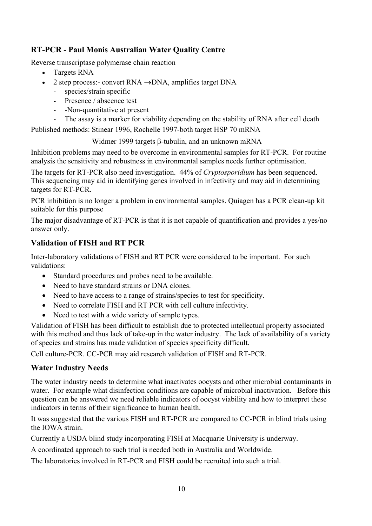# **RT-PCR - Paul Monis Australian Water Quality Centre**

Reverse transcriptase polymerase chain reaction

- Targets RNA
- 2 step process:- convert RNA  $\rightarrow$ DNA, amplifies target DNA
	- species/strain specific
	- Presence / abscence test
	- -Non-quantitative at present
	- The assay is a marker for viability depending on the stability of RNA after cell death

Published methods: Stinear 1996, Rochelle 1997-both target HSP 70 mRNA

Widmer 1999 targets β-tubulin, and an unknown mRNA

Inhibition problems may need to be overcome in environmental samples for RT-PCR. For routine analysis the sensitivity and robustness in environmental samples needs further optimisation.

The targets for RT-PCR also need investigation. 44% of *Cryptosporidium* has been sequenced. This sequencing may aid in identifying genes involved in infectivity and may aid in determining targets for RT-PCR.

PCR inhibition is no longer a problem in environmental samples. Quiagen has a PCR clean-up kit suitable for this purpose

The major disadvantage of RT-PCR is that it is not capable of quantification and provides a yes/no answer only.

### **Validation of FISH and RT PCR**

Inter-laboratory validations of FISH and RT PCR were considered to be important. For such validations:

- Standard procedures and probes need to be available.
- Need to have standard strains or DNA clones.
- Need to have access to a range of strains/species to test for specificity.
- Need to correlate FISH and RT PCR with cell culture infectivity.
- Need to test with a wide variety of sample types.

Validation of FISH has been difficult to establish due to protected intellectual property associated with this method and thus lack of take-up in the water industry. The lack of availability of a variety of species and strains has made validation of species specificity difficult.

Cell culture-PCR. CC-PCR may aid research validation of FISH and RT-PCR.

#### **Water Industry Needs**

The water industry needs to determine what inactivates oocysts and other microbial contaminants in water. For example what disinfection conditions are capable of microbial inactivation. Before this question can be answered we need reliable indicators of oocyst viability and how to interpret these indicators in terms of their significance to human health.

It was suggested that the various FISH and RT-PCR are compared to CC-PCR in blind trials using the IOWA strain.

Currently a USDA blind study incorporating FISH at Macquarie University is underway.

A coordinated approach to such trial is needed both in Australia and Worldwide.

The laboratories involved in RT-PCR and FISH could be recruited into such a trial.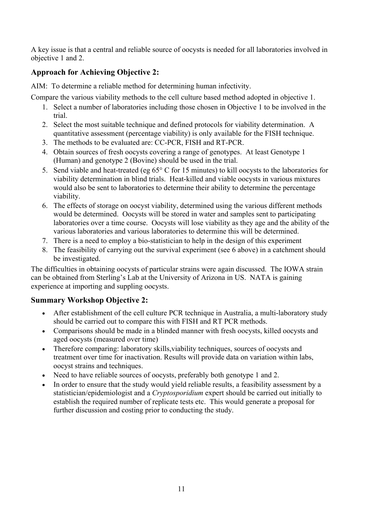A key issue is that a central and reliable source of oocysts is needed for all laboratories involved in objective 1 and 2.

# **Approach for Achieving Objective 2:**

AIM: To determine a reliable method for determining human infectivity.

Compare the various viability methods to the cell culture based method adopted in objective 1.

- 1. Select a number of laboratories including those chosen in Objective 1 to be involved in the trial.
- 2. Select the most suitable technique and defined protocols for viability determination. A quantitative assessment (percentage viability) is only available for the FISH technique.
- 3. The methods to be evaluated are: CC-PCR, FISH and RT-PCR.
- 4. Obtain sources of fresh oocysts covering a range of genotypes. At least Genotype 1 (Human) and genotype 2 (Bovine) should be used in the trial.
- 5. Send viable and heat-treated (eg 65° C for 15 minutes) to kill oocysts to the laboratories for viability determination in blind trials. Heat-killed and viable oocysts in various mixtures would also be sent to laboratories to determine their ability to determine the percentage viability.
- 6. The effects of storage on oocyst viability, determined using the various different methods would be determined. Oocysts will be stored in water and samples sent to participating laboratories over a time course. Oocysts will lose viability as they age and the ability of the various laboratories and various laboratories to determine this will be determined.
- 7. There is a need to employ a bio-statistician to help in the design of this experiment
- 8. The feasibility of carrying out the survival experiment (see 6 above) in a catchment should be investigated.

The difficulties in obtaining oocysts of particular strains were again discussed. The IOWA strain can be obtained from Sterling's Lab at the University of Arizona in US. NATA is gaining experience at importing and suppling oocysts.

# **Summary Workshop Objective 2:**

- After establishment of the cell culture PCR technique in Australia, a multi-laboratory study should be carried out to compare this with FISH and RT PCR methods.
- Comparisons should be made in a blinded manner with fresh oocysts, killed oocysts and aged oocysts (measured over time)
- Therefore comparing: laboratory skills, viability techniques, sources of oocysts and treatment over time for inactivation. Results will provide data on variation within labs, oocyst strains and techniques.
- Need to have reliable sources of oocysts, preferably both genotype 1 and 2.
- In order to ensure that the study would yield reliable results, a feasibility assessment by a statistician/epidemiologist and a *Cryptosporidium* expert should be carried out initially to establish the required number of replicate tests etc. This would generate a proposal for further discussion and costing prior to conducting the study.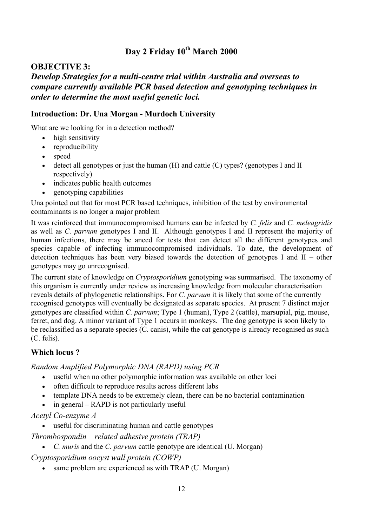# **Day 2 Friday 10th March 2000**

#### **OBJECTIVE 3:**

# *Develop Strategies for a multi-centre trial within Australia and overseas to compare currently available PCR based detection and genotyping techniques in order to determine the most useful genetic loci.*

#### **Introduction: Dr. Una Morgan - Murdoch University**

What are we looking for in a detection method?

- high sensitivity
- reproducibility
- speed
- detect all genotypes or just the human  $(H)$  and cattle  $(C)$  types? (genotypes I and II respectively)
- indicates public health outcomes
- genotyping capabilities

Una pointed out that for most PCR based techniques, inhibition of the test by environmental contaminants is no longer a major problem

It was reinforced that immunocompromised humans can be infected by *C. felis* and *C. meleagridis*  as well as *C. parvum* genotypes I and II. Although genotypes I and II represent the majority of human infections, there may be aneed for tests that can detect all the different genotypes and species capable of infecting immunocompromised individuals. To date, the development of detection techniques has been very biased towards the detection of genotypes I and II – other genotypes may go unrecognised.

The current state of knowledge on *Cryptosporidium* genotyping was summarised. The taxonomy of this organism is currently under review as increasing knowledge from molecular characterisation reveals details of phylogenetic relationships. For *C. parvum* it is likely that some of the currently recognised genotypes will eventually be designated as separate species. At present 7 distinct major genotypes are classified within *C. parvum*; Type 1 (human), Type 2 (cattle), marsupial, pig, mouse, ferret, and dog. A minor variant of Type 1 occurs in monkeys. The dog genotype is soon likely to be reclassified as a separate species (C. canis), while the cat genotype is already recognised as such (C. felis).

#### **Which locus ?**

*Random Amplified Polymorphic DNA (RAPD) using PCR* 

- useful when no other polymorphic information was available on other loci
- often difficult to reproduce results across different labs
- template DNA needs to be extremely clean, there can be no bacterial contamination
- in general RAPD is not particularly useful

*Acetyl Co-enzyme A* 

useful for discriminating human and cattle genotypes

*Thrombospondin – related adhesive protein (TRAP)* 

• *C. muris* and the *C. parvum* cattle genotype are identical (U. Morgan)

*Cryptosporidium oocyst wall protein (COWP)* 

• same problem are experienced as with TRAP (U. Morgan)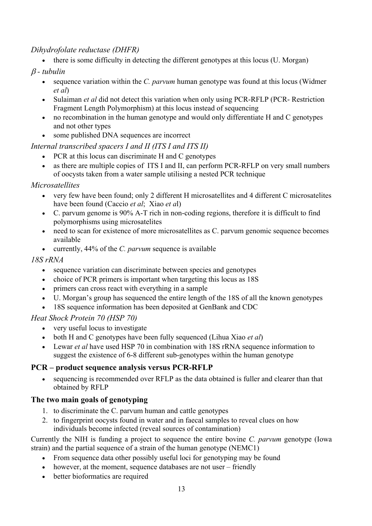# *Dihydrofolate reductase (DHFR)*

• there is some difficulty in detecting the different genotypes at this locus (U. Morgan)

## β *- tubulin*

- sequence variation within the *C. parvum* human genotype was found at this locus (Widmer *et al*)
- Sulaiman *et al* did not detect this variation when only using PCR-RFLP (PCR- Restriction Fragment Length Polymorphism) at this locus instead of sequencing
- no recombination in the human genotype and would only differentiate H and C genotypes and not other types
- some published DNA sequences are incorrect

# *Internal transcribed spacers I and II (ITS I and ITS II)*

- PCR at this locus can discriminate H and C genotypes
- as there are multiple copies of ITS I and II, can perform PCR-RFLP on very small numbers of oocysts taken from a water sample utilising a nested PCR technique

#### *Microsatellites*

- very few have been found; only 2 different H microsatellites and 4 different C microsatelites have been found (Caccio *et al*; Xiao *et a*l)
- C. parvum genome is 90% A-T rich in non-coding regions, therefore it is difficult to find polymorphisms using microsatelites
- need to scan for existence of more microsatellites as C. parvum genomic sequence becomes available
- currently, 44% of the *C. parvum* sequence is available

### *18S rRNA*

- sequence variation can discriminate between species and genotypes
- choice of PCR primers is important when targeting this locus as 18S
- primers can cross react with everything in a sample
- U. Morgan's group has sequenced the entire length of the 18S of all the known genotypes
- 18S sequence information has been deposited at GenBank and CDC

# *Heat Shock Protein 70 (HSP 70)*

- very useful locus to investigate
- both H and C genotypes have been fully sequenced (Lihua Xiao *et al*)
- Lewar *et al* have used HSP 70 in combination with 18S rRNA sequence information to suggest the existence of 6-8 different sub-genotypes within the human genotype

# **PCR – product sequence analysis versus PCR-RFLP**

• sequencing is recommended over RFLP as the data obtained is fuller and clearer than that obtained by RFLP

# **The two main goals of genotyping**

- 1. to discriminate the C. parvum human and cattle genotypes
- 2. to fingerprint oocysts found in water and in faecal samples to reveal clues on how individuals become infected (reveal sources of contamination)

Currently the NIH is funding a project to sequence the entire bovine *C. parvum* genotype (Iowa strain) and the partial sequence of a strain of the human genotype (NEMC1)

- From sequence data other possibly useful loci for genotyping may be found
- however, at the moment, sequence databases are not user friendly
- better bioformatics are required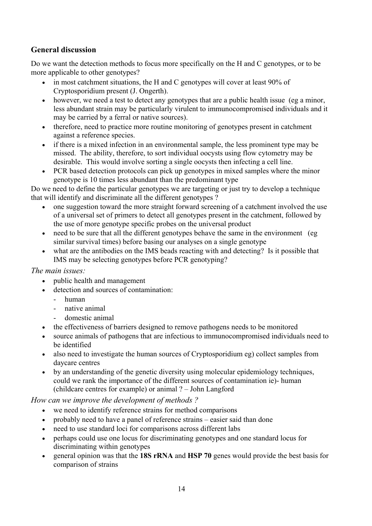# **General discussion**

Do we want the detection methods to focus more specifically on the H and C genotypes, or to be more applicable to other genotypes?

- in most catchment situations, the H and C genotypes will cover at least 90% of Cryptosporidium present (J. Ongerth).
- however, we need a test to detect any genotypes that are a public health issue (eg a minor, less abundant strain may be particularly virulent to immunocompromised individuals and it may be carried by a ferral or native sources).
- therefore, need to practice more routine monitoring of genotypes present in catchment against a reference species.
- if there is a mixed infection in an environmental sample, the less prominent type may be missed. The ability, therefore, to sort individual oocysts using flow cytometry may be desirable. This would involve sorting a single oocysts then infecting a cell line.
- PCR based detection protocols can pick up genotypes in mixed samples where the minor genotype is 10 times less abundant than the predominant type

Do we need to define the particular genotypes we are targeting or just try to develop a technique that will identify and discriminate all the different genotypes ?

- one suggestion toward the more straight forward screening of a catchment involved the use of a universal set of primers to detect all genotypes present in the catchment, followed by the use of more genotype specific probes on the universal product
- need to be sure that all the different genotypes behave the same in the environment (eg) similar survival times) before basing our analyses on a single genotype
- what are the antibodies on the IMS beads reacting with and detecting? Is it possible that IMS may be selecting genotypes before PCR genotyping?

#### *The main issues:*

- public health and management
- detection and sources of contamination:
	- human
	- native animal
	- domestic animal
- the effectiveness of barriers designed to remove pathogens needs to be monitored
- source animals of pathogens that are infectious to immunocompromised individuals need to be identified
- also need to investigate the human sources of Cryptosporidium eg) collect samples from daycare centres
- by an understanding of the genetic diversity using molecular epidemiology techniques, could we rank the importance of the different sources of contamination ie)- human (childcare centres for example) or animal ? – John Langford

*How can we improve the development of methods ?* 

- we need to identify reference strains for method comparisons
- probably need to have a panel of reference strains easier said than done
- need to use standard loci for comparisons across different labs
- perhaps could use one locus for discriminating genotypes and one standard locus for discriminating within genotypes
- general opinion was that the **18S rRNA** and **HSP 70** genes would provide the best basis for comparison of strains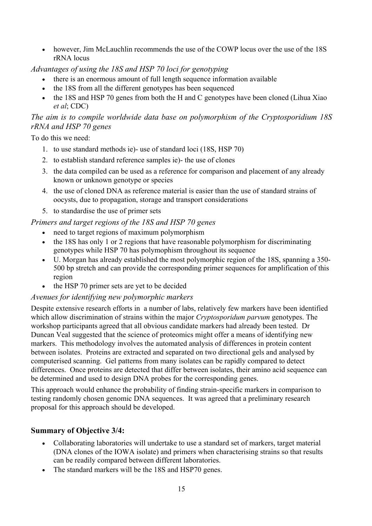• however, Jim McLauchlin recommends the use of the COWP locus over the use of the 18S rRNA locus

#### *Advantages of using the 18S and HSP 70 loci for genotyping*

- there is an enormous amount of full length sequence information available
- the 18S from all the different genotypes has been sequenced
- the 18S and HSP 70 genes from both the H and C genotypes have been cloned (Lihua Xiao *et al*; CDC)

### *The aim is to compile worldwide data base on polymorphism of the Cryptosporidium 18S rRNA and HSP 70 genes*

To do this we need:

- 1. to use standard methods ie)- use of standard loci (18S, HSP 70)
- 2. to establish standard reference samples ie)- the use of clones
- 3. the data compiled can be used as a reference for comparison and placement of any already known or unknown genotype or species
- 4. the use of cloned DNA as reference material is easier than the use of standard strains of oocysts, due to propagation, storage and transport considerations
- 5. to standardise the use of primer sets

# *Primers and target regions of the 18S and HSP 70 genes*

- need to target regions of maximum polymorphism
- the 18S has only 1 or 2 regions that have reasonable polymorphism for discriminating genotypes while HSP 70 has polymophism throughout its sequence
- U. Morgan has already established the most polymorphic region of the 18S, spanning a 350- 500 bp stretch and can provide the corresponding primer sequences for amplification of this region
- the HSP 70 primer sets are yet to be decided

#### *Avenues for identifying new polymorphic markers*

Despite extensive research efforts in a number of labs, relatively few markers have been identified which allow discrimination of strains within the major *Cryptosporidum parvum* genotypes. The workshop participants agreed that all obvious candidate markers had already been tested. Dr Duncan Veal suggested that the science of proteomics might offer a means of identifying new markers. This methodology involves the automated analysis of differences in protein content between isolates. Proteins are extracted and separated on two directional gels and analysed by computerised scanning. Gel patterns from many isolates can be rapidly compared to detect differences. Once proteins are detected that differ between isolates, their amino acid sequence can be determined and used to design DNA probes for the corresponding genes.

This approach would enhance the probability of finding strain-specific markers in comparison to testing randomly chosen genomic DNA sequences. It was agreed that a preliminary research proposal for this approach should be developed.

# **Summary of Objective 3/4:**

- Collaborating laboratories will undertake to use a standard set of markers, target material (DNA clones of the IOWA isolate) and primers when characterising strains so that results can be readily compared between different laboratories.
- The standard markers will be the 18S and HSP70 genes.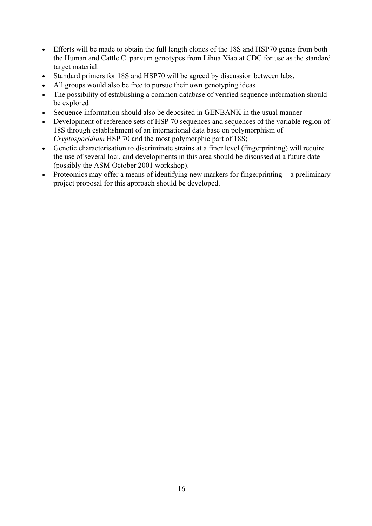- Efforts will be made to obtain the full length clones of the 18S and HSP70 genes from both the Human and Cattle C. parvum genotypes from Lihua Xiao at CDC for use as the standard target material.
- Standard primers for 18S and HSP70 will be agreed by discussion between labs.
- All groups would also be free to pursue their own genotyping ideas
- The possibility of establishing a common database of verified sequence information should be explored
- Sequence information should also be deposited in GENBANK in the usual manner
- Development of reference sets of HSP 70 sequences and sequences of the variable region of 18S through establishment of an international data base on polymorphism of *Cryptosporidium* HSP 70 and the most polymorphic part of 18S;
- Genetic characterisation to discriminate strains at a finer level (fingerprinting) will require the use of several loci, and developments in this area should be discussed at a future date (possibly the ASM October 2001 workshop).
- Proteomics may offer a means of identifying new markers for fingerprinting a preliminary project proposal for this approach should be developed.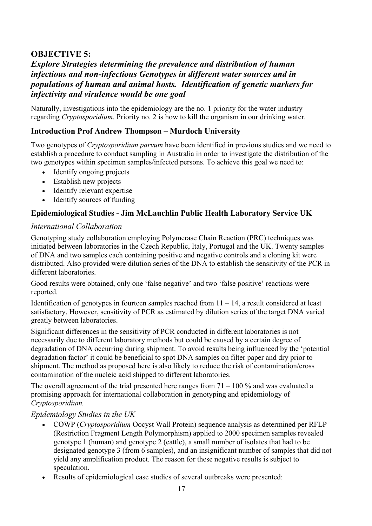# **OBJECTIVE 5:**

# *Explore Strategies determining the prevalence and distribution of human infectious and non-infectious Genotypes in different water sources and in populations of human and animal hosts. Identification of genetic markers for infectivity and virulence would be one goal*

Naturally, investigations into the epidemiology are the no. 1 priority for the water industry regarding *Cryptosporidium.* Priority no. 2 is how to kill the organism in our drinking water.

# **Introduction Prof Andrew Thompson – Murdoch University**

Two genotypes of *Cryptosporidium parvum* have been identified in previous studies and we need to establish a procedure to conduct sampling in Australia in order to investigate the distribution of the two genotypes within specimen samples/infected persons. To achieve this goal we need to:

- Identify ongoing projects
- Establish new projects
- Identify relevant expertise
- Identify sources of funding

#### **Epidemiological Studies - Jim McLauchlin Public Health Laboratory Service UK**

#### *International Collaboration*

Genotyping study collaboration employing Polymerase Chain Reaction (PRC) techniques was initiated between laboratories in the Czech Republic, Italy, Portugal and the UK. Twenty samples of DNA and two samples each containing positive and negative controls and a cloning kit were distributed. Also provided were dilution series of the DNA to establish the sensitivity of the PCR in different laboratories.

Good results were obtained, only one 'false negative' and two 'false positive' reactions were reported.

Identification of genotypes in fourteen samples reached from  $11 - 14$ , a result considered at least satisfactory. However, sensitivity of PCR as estimated by dilution series of the target DNA varied greatly between laboratories.

Significant differences in the sensitivity of PCR conducted in different laboratories is not necessarily due to different laboratory methods but could be caused by a certain degree of degradation of DNA occurring during shipment. To avoid results being influenced by the 'potential degradation factor' it could be beneficial to spot DNA samples on filter paper and dry prior to shipment. The method as proposed here is also likely to reduce the risk of contamination/cross contamination of the nucleic acid shipped to different laboratories.

The overall agreement of the trial presented here ranges from  $71 - 100\%$  and was evaluated a promising approach for international collaboration in genotyping and epidemiology of *Cryptosporidium.*

#### *Epidemiology Studies in the UK*

- COWP (*Cryptosporidium* Oocyst Wall Protein) sequence analysis as determined per RFLP (Restriction Fragment Length Polymorphism) applied to 2000 specimen samples revealed genotype 1 (human) and genotype 2 (cattle), a small number of isolates that had to be designated genotype 3 (from 6 samples), and an insignificant number of samples that did not yield any amplification product. The reason for these negative results is subject to speculation.
- Results of epidemiological case studies of several outbreaks were presented: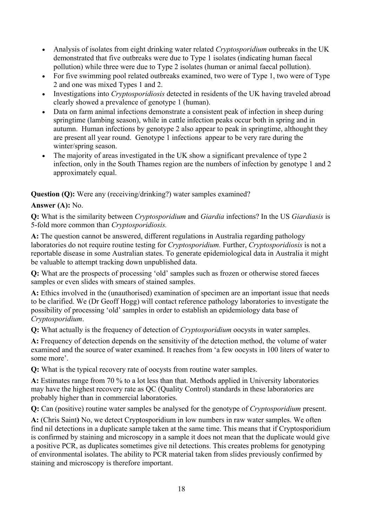- Analysis of isolates from eight drinking water related *Cryptosporidium* outbreaks in the UK demonstrated that five outbreaks were due to Type 1 isolates (indicating human faecal pollution) while three were due to Type 2 isolates (human or animal faecal pollution).
- For five swimming pool related outbreaks examined, two were of Type 1, two were of Type 2 and one was mixed Types 1 and 2.
- Investigations into *Cryptosporidiosis* detected in residents of the UK having traveled abroad clearly showed a prevalence of genotype 1 (human).
- Data on farm animal infections demonstrate a consistent peak of infection in sheep during springtime (lambing season), while in cattle infection peaks occur both in spring and in autumn. Human infections by genotype 2 also appear to peak in springtime, althought they are present all year round. Genotype 1 infections appear to be very rare during the winter/spring season.
- The majority of areas investigated in the UK show a significant prevalence of type 2 infection, only in the South Thames region are the numbers of infection by genotype 1 and 2 approximately equal.

#### **Question (Q):** Were any (receiving/drinking?) water samples examined?

#### **Answer (A):** No.

**Q:** What is the similarity between *Cryptosporidium* and *Giardia* infections? In the US *Giardiasis* is 5-fold more common than *Cryptosporidiosis.*

**A:** The question cannot be answered, different regulations in Australia regarding pathology laboratories do not require routine testing for *Cryptosporidium.* Further, *Cryptosporidiosis* is not a reportable disease in some Australian states. To generate epidemiological data in Australia it might be valuable to attempt tracking down unpublished data.

**Q:** What are the prospects of processing 'old' samples such as frozen or otherwise stored faeces samples or even slides with smears of stained samples.

**A:** Ethics involved in the (unauthorised) examination of specimen are an important issue that needs to be clarified. We (Dr Geoff Hogg) will contact reference pathology laboratories to investigate the possibility of processing 'old' samples in order to establish an epidemiology data base of *Cryptosporidium*.

**Q:** What actually is the frequency of detection of *Cryptosporidium* oocysts in water samples.

**A:** Frequency of detection depends on the sensitivity of the detection method, the volume of water examined and the source of water examined. It reaches from 'a few oocysts in 100 liters of water to some more'.

**Q:** What is the typical recovery rate of oocysts from routine water samples.

**A:** Estimates range from 70 % to a lot less than that. Methods applied in University laboratories may have the highest recovery rate as QC (Quality Control) standards in these laboratories are probably higher than in commercial laboratories.

**Q:** Can (positive) routine water samples be analysed for the genotype of *Cryptosporidium* present.

**A:** (Chris Saint**)** No, we detect Cryptosporidium in low numbers in raw water samples. We often find nil detections in a duplicate sample taken at the same time. This means that if Cryptosporidium is confirmed by staining and microscopy in a sample it does not mean that the duplicate would give a positive PCR, as duplicates sometimes give nil detections. This creates problems for genotyping of environmental isolates. The ability to PCR material taken from slides previously confirmed by staining and microscopy is therefore important.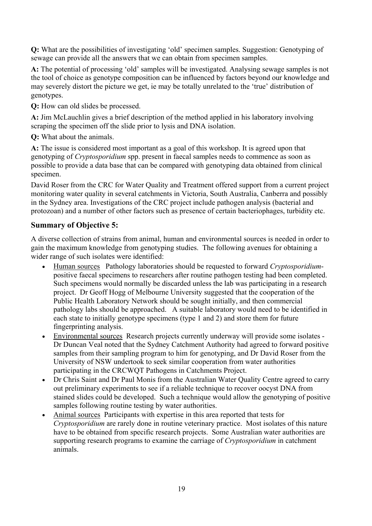**Q:** What are the possibilities of investigating 'old' specimen samples. Suggestion: Genotyping of sewage can provide all the answers that we can obtain from specimen samples.

**A:** The potential of processing 'old' samples will be investigated. Analysing sewage samples is not the tool of choice as genotype composition can be influenced by factors beyond our knowledge and may severely distort the picture we get, ie may be totally unrelated to the 'true' distribution of genotypes.

**Q:** How can old slides be processed.

**A:** Jim McLauchlin gives a brief description of the method applied in his laboratory involving scraping the specimen off the slide prior to lysis and DNA isolation.

**Q:** What about the animals.

**A:** The issue is considered most important as a goal of this workshop. It is agreed upon that genotyping of *Cryptosporidium* spp. present in faecal samples needs to commence as soon as possible to provide a data base that can be compared with genotyping data obtained from clinical specimen.

David Roser from the CRC for Water Quality and Treatment offered support from a current project monitoring water quality in several catchments in Victoria, South Australia, Canberra and possibly in the Sydney area. Investigations of the CRC project include pathogen analysis (bacterial and protozoan) and a number of other factors such as presence of certain bacteriophages, turbidity etc.

### **Summary of Objective 5:**

A diverse collection of strains from animal, human and environmental sources is needed in order to gain the maximum knowledge from genotyping studies. The following avenues for obtaining a wider range of such isolates were identified:

- Human sources Pathology laboratories should be requested to forward *Cryptosporidium*positive faecal specimens to researchers after routine pathogen testing had been completed. Such specimens would normally be discarded unless the lab was participating in a research project. Dr Geoff Hogg of Melbourne University suggested that the cooperation of the Public Health Laboratory Network should be sought initially, and then commercial pathology labs should be approached. A suitable laboratory would need to be identified in each state to initially genotype specimens (type 1 and 2) and store them for future fingerprinting analysis.
- Environmental sources Research projects currently underway will provide some isolates Dr Duncan Veal noted that the Sydney Catchment Authority had agreed to forward positive samples from their sampling program to him for genotyping, and Dr David Roser from the University of NSW undertook to seek similar cooperation from water authorities participating in the CRCWQT Pathogens in Catchments Project.
- Dr Chris Saint and Dr Paul Monis from the Australian Water Quality Centre agreed to carry out preliminary experiments to see if a reliable technique to recover oocyst DNA from stained slides could be developed. Such a technique would allow the genotyping of positive samples following routine testing by water authorities.
- Animal sources Participants with expertise in this area reported that tests for *Cryptosporidium* are rarely done in routine veterinary practice. Most isolates of this nature have to be obtained from specific research projects. Some Australian water authorities are supporting research programs to examine the carriage of *Cryptosporidium* in catchment animals.